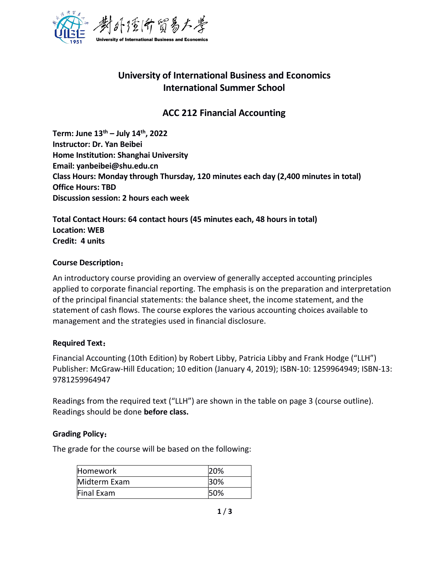

# **University of International Business and Economics International Summer School**

## **ACC 212 Financial Accounting**

**Term: June 13 th – July 14 th , 2022 Instructor: Dr. Yan Beibei Home Institution: Shanghai University Email: yanbeibei@shu.edu.cn Class Hours: Monday through Thursday, 120 minutes each day (2,400 minutes in total) Office Hours: TBD Discussion session: 2 hours each week**

**Total Contact Hours: 64 contact hours (45 minutes each, 48 hours in total) Location: WEB Credit: 4 units**

### **Course Description**:

An introductory course providing an overview of generallyaccepted accounting principles applied to corporate financial reporting. The emphasis is on the preparation and interpretation of the principal financial statements: the balance sheet, the income statement, and the statement of cash flows. The course explores the various accounting choices available to management and the strategies used in financial disclosure.

### **Required Text**:

Financial Accounting (10th Edition) by Robert Libby, Patricia Libby and Frank Hodge ("LLH") Publisher: McGraw-Hill Education; 10 edition (January 4, 2019); ISBN-10: 1259964949; ISBN-13: 9781259964947

Readings from the required text ("LLH") are shown in the table on page 3 (course outline). Readings should be done **before class.**

#### **Grading Policy**:

The grade for the course will be based on the following:

| Homework     | 20% |
|--------------|-----|
| Midterm Exam | 30% |
| Final Exam   | 50% |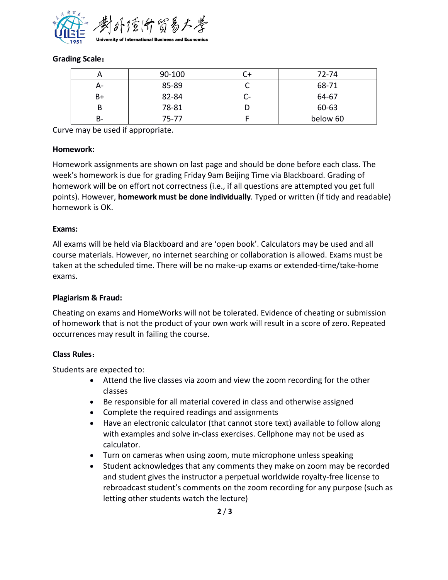

### **Grading Scale**:

|    | 90-100    |        | 72-74    |
|----|-----------|--------|----------|
| А- | 85-89     | ∼      | 68-71    |
| B+ | 82-84     | -<br>◡ | 64-67    |
|    | 78-81     |        | 60-63    |
| B- | $75 - 77$ |        | below 60 |

Curve may be used if appropriate.

### **Homework:**

Homework assignments are shown on last page and should be done before each class. The week's homework is due for grading Friday 9am Beijing Time via Blackboard. Grading of homework will be on effort not correctness (i.e., if all questions are attempted you get full points). However, **homework must be done individually**. Typed or written (if tidy and readable) homework is OK.

#### **Exams:**

All exams will be held via Blackboard and are 'open book'. Calculators may be used and all course materials. However, no internet searching or collaboration is allowed. Exams must be taken at the scheduled time. There will be no make-up exams or extended-time/take-home exams.

### **Plagiarism & Fraud:**

Cheating on exams and HomeWorks will not be tolerated. Evidence of cheating or submission of homework that is not the product of your own work will result in a score of zero. Repeated occurrences may result in failing the course.

### **Class Rules**:

Students are expected to:

- Attend the live classes via zoom and view the zoom recording for the other classes
- Be responsible for all material covered in class and otherwise assigned
- Complete the required readings and assignments
- Have an electronic calculator (that cannot store text) available to follow along with examples and solve in-class exercises. Cellphone may not be used as calculator.
- Turn on cameras when using zoom, mute microphone unless speaking
- Student acknowledges that any comments they make on zoom may be recorded and student gives the instructor a perpetual worldwide royalty-free license to rebroadcast student's comments on the zoom recording for any purpose (such as letting other students watch the lecture)